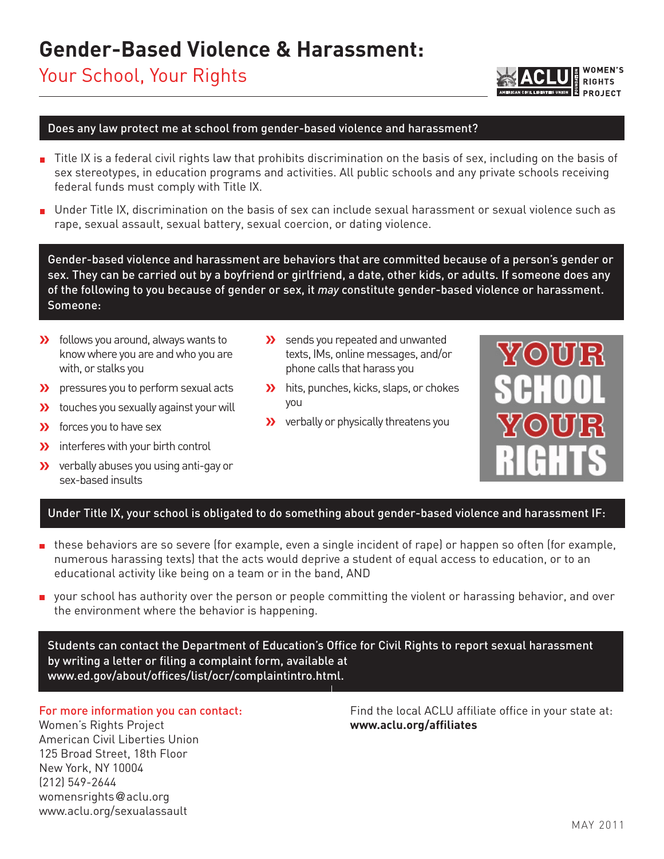# **Gender-Based Violence & Harassment:**

# Your School, Your Rights

## **NOMFN'S RIGHTS**

#### Does any law protect me at school from gender-based violence and harassment?

- Title IX is a federal civil rights law that prohibits discrimination on the basis of sex, including on the basis of sex stereotypes, in education programs and activities. All public schools and any private schools receiving federal funds must comply with Title IX.
- Under Title IX, discrimination on the basis of sex can include sexual harassment or sexual violence such as rape, sexual assault, sexual battery, sexual coercion, or dating violence.

Gender-based violence and harassment are behaviors that are committed because of a person's gender or sex. They can be carried out by a boyfriend or girlfriend, a date, other kids, or adults. If someone does any of the following to you because of gender or sex, it *may* constitute gender-based violence or harassment. Someone:

- **>>** follows you around, always wants to know where you are and who you are with, or stalks you
- >> pressures you to perform sexual acts
- **>>>** touches you sexually against your will
- **>>** forces you to have sex
- **>>** interferes with your birth control
- **>>** verbally abuses you using anti-gay or sex-based insults
- **>>** sends you repeated and unwanted texts, IMs, online messages, and/or phone calls that harass you
- **>>** hits, punches, kicks, slaps, or chokes you
- **>>** verbally or physically threatens you



#### Under Title IX, your school is obligated to do something about gender-based violence and harassment IF:

- these behaviors are so severe (for example, even a single incident of rape) or happen so often (for example, numerous harassing texts) that the acts would deprive a student of equal access to education, or to an educational activity like being on a team or in the band, AND
- **p** your school has authority over the person or people committing the violent or harassing behavior, and over the environment where the behavior is happening.

Students can contact the Department of Education's Office for Civil Rights to report sexual harassment by writing a letter or filing a complaint form, available at www.ed.gov/about/offices/list/ocr/complaintintro.html.

For more information you can contact: Women's Rights Project American Civil Liberties Union 125 Broad Street, 18th Floor New York, NY 10004 (212) 549-2644 womensrights@aclu.org www.aclu.org/sexualassault

Find the local ACLU affiliate office in your state at: **www.aclu.org/affiliates**